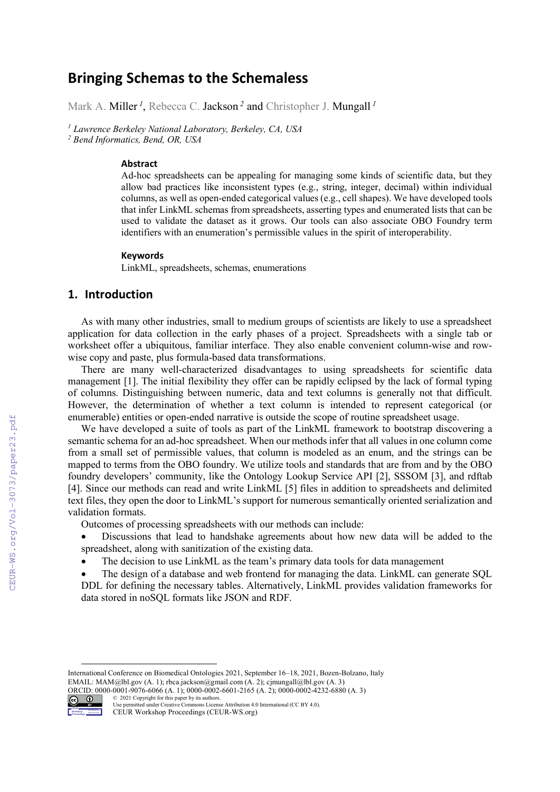# **Bringing Schemas to the Schemaless**

Mark A. Miller<sup>1</sup>, Rebecca C. Jackson<sup>2</sup> and Christopher J. Mungall<sup>1</sup>

*<sup>1</sup> Lawrence Berkeley National Laboratory, Berkeley, CA, USA <sup>2</sup> Bend Informatics, Bend, OR, USA*

#### **Abstract**

Ad-hoc spreadsheets can be appealing for managing some kinds of scientific data, but they allow bad practices like inconsistent types (e.g., string, integer, decimal) within individual columns, as well as open-ended categorical values (e.g., cell shapes). We have developed tools that infer LinkML schemas from spreadsheets, asserting types and enumerated lists that can be used to validate the dataset as it grows. Our tools can also associate OBO Foundry term identifiers with an enumeration's permissible values in the spirit of interoperability.

#### **Keywords**

LinkML, spreadsheets, schemas, enumerations

## **1. Introduction**

As with many other industries, small to medium groups of scientists are likely to use a spreadsheet application for data collection in the early phases of a project. Spreadsheets with a single tab or worksheet offer a ubiquitous, familiar interface. They also enable convenient column-wise and rowwise copy and paste, plus formula-based data transformations.

There are many well-characterized disadvantages to using spreadsheets for scientific data management [1]. The initial flexibility they offer can be rapidly eclipsed by the lack of formal typing of columns. Distinguishing between numeric, data and text columns is generally not that difficult. However, the determination of whether a text column is intended to represent categorical (or enumerable) entities or open-ended narrative is outside the scope of routine spreadsheet usage.

We have developed a suite of tools as part of the LinkML framework to bootstrap discovering a semantic schema for an ad-hoc spreadsheet. When our methods infer that all values in one column come from a small set of permissible values, that column is modeled as an enum, and the strings can be mapped to terms from the OBO foundry. We utilize tools and standards that are from and by the OBO foundry developers' community, like the Ontology Lookup Service API [2], SSSOM [3], and rdftab [4]. Since our methods can read and write LinkML [5] files in addition to spreadsheets and delimited text files, they open the door to LinkML's support for numerous semantically oriented serialization and validation formats.

Outcomes of processing spreadsheets with our methods can include:

• Discussions that lead to handshake agreements about how new data will be added to the spreadsheet, along with sanitization of the existing data.

The decision to use LinkML as the team's primary data tools for data management

The design of a database and web frontend for managing the data. LinkML can generate SQL DDL for defining the necessary tables. Alternatively, LinkML provides validation frameworks for data stored in noSQL formats like JSON and RDF.

ORCID: 0000-0001-9076-6066 (A. 1); 0000-0002-6601-2165 (A. 2); 0000-0002-4232-6880 (A. 3)



<sup>©</sup> 2021 Copyright for this paper by its authors. Use permitted under Creative Commons License Attribution 4.0 International (CC BY 4.0). CEUR Workshop Proceedings (CEUR-WS.org)

International Conference on Biomedical Ontologies 2021, September 16–18, 2021, Bozen-Bolzano, Italy EMAIL: MAM@lbl.gov (A. 1); rbca.jackson@gmail.com (A. 2); cjmungall@lbl.gov (A. 3)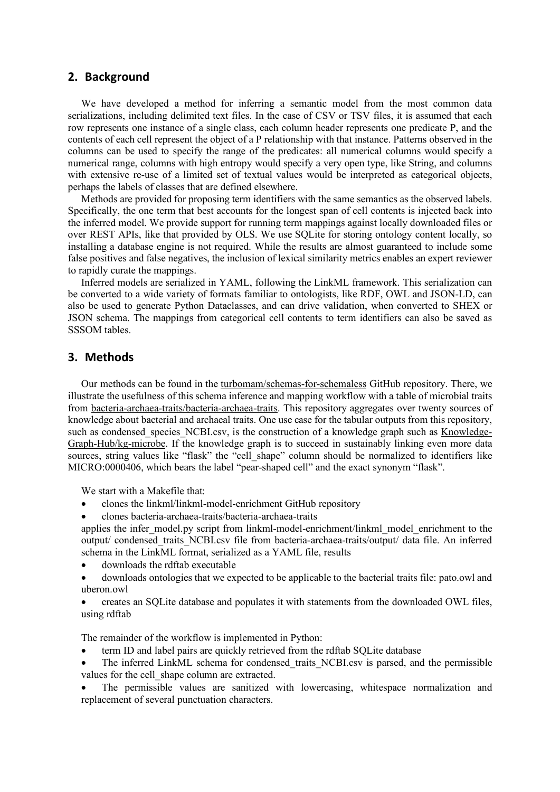## **2. Background**

We have developed a method for inferring a semantic model from the most common data serializations, including delimited text files. In the case of CSV or TSV files, it is assumed that each row represents one instance of a single class, each column header represents one predicate P, and the contents of each cell represent the object of a P relationship with that instance. Patterns observed in the columns can be used to specify the range of the predicates: all numerical columns would specify a numerical range, columns with high entropy would specify a very open type, like String, and columns with extensive re-use of a limited set of textual values would be interpreted as categorical objects, perhaps the labels of classes that are defined elsewhere.

Methods are provided for proposing term identifiers with the same semantics as the observed labels. Specifically, the one term that best accounts for the longest span of cell contents is injected back into the inferred model. We provide support for running term mappings against locally downloaded files or over REST APIs, like that provided by OLS. We use SQLite for storing ontology content locally, so installing a database engine is not required. While the results are almost guaranteed to include some false positives and false negatives, the inclusion of lexical similarity metrics enables an expert reviewer to rapidly curate the mappings.

Inferred models are serialized in YAML, following the LinkML framework. This serialization can be converted to a wide variety of formats familiar to ontologists, like RDF, OWL and JSON-LD, can also be used to generate Python Dataclasses, and can drive validation, when converted to SHEX or JSON schema. The mappings from categorical cell contents to term identifiers can also be saved as SSSOM tables.

## **3. Methods**

Our methods can be found in the turbomam/schemas-for-schemaless GitHub repository. There, we illustrate the usefulness of this schema inference and mapping workflow with a table of microbial traits from bacteria-archaea-traits/bacteria-archaea-traits. This repository aggregates over twenty sources of knowledge about bacterial and archaeal traits. One use case for the tabular outputs from this repository, such as condensed species NCBI.csv, is the construction of a knowledge graph such as Knowledge-Graph-Hub/kg-microbe. If the knowledge graph is to succeed in sustainably linking even more data sources, string values like "flask" the "cell shape" column should be normalized to identifiers like MICRO:0000406, which bears the label "pear-shaped cell" and the exact synonym "flask".

We start with a Makefile that:

- clones the linkml/linkml-model-enrichment GitHub repository
- clones bacteria-archaea-traits/bacteria-archaea-traits

applies the infer model.py script from linkml-model-enrichment/linkml model enrichment to the output/ condensed\_traits\_NCBI.csv file from bacteria-archaea-traits/output/ data file. An inferred schema in the LinkML format, serialized as a YAML file, results

- downloads the rdftab executable
- downloads ontologies that we expected to be applicable to the bacterial traits file: pato.owl and uberon.owl
- creates an SQLite database and populates it with statements from the downloaded OWL files, using rdftab

The remainder of the workflow is implemented in Python:

- term ID and label pairs are quickly retrieved from the rdftab SQLite database
- The inferred LinkML schema for condensed traits NCBI.csv is parsed, and the permissible values for the cell\_shape column are extracted.
- The permissible values are sanitized with lowercasing, whitespace normalization and replacement of several punctuation characters.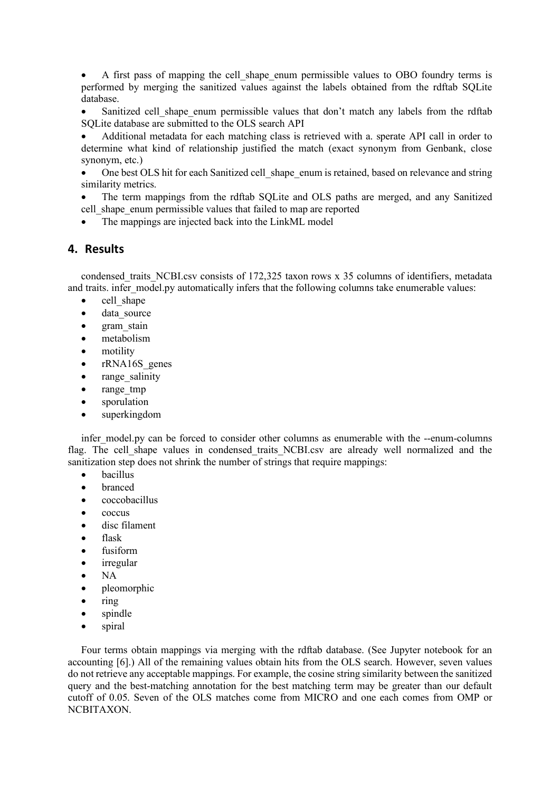• A first pass of mapping the cell shape enum permissible values to OBO foundry terms is performed by merging the sanitized values against the labels obtained from the rdftab SQLite database.

• Sanitized cell shape enum permissible values that don't match any labels from the rdftab SQLite database are submitted to the OLS search API

• Additional metadata for each matching class is retrieved with a. sperate API call in order to determine what kind of relationship justified the match (exact synonym from Genbank, close synonym, etc.)

• One best OLS hit for each Sanitized cell\_shape\_enum is retained, based on relevance and string similarity metrics.

The term mappings from the rdftab SQLite and OLS paths are merged, and any Sanitized cell\_shape\_enum permissible values that failed to map are reported

The mappings are injected back into the LinkML model

## **4. Results**

condensed traits NCBI.csv consists of 172,325 taxon rows x 35 columns of identifiers, metadata and traits, infer model.py automatically infers that the following columns take enumerable values:

- cell shape
- data source
- gram stain
- metabolism
- motility
- rRNA16S genes
- range salinity
- range tmp
- sporulation
- superkingdom

infer model.py can be forced to consider other columns as enumerable with the --enum-columns flag. The cell shape values in condensed traits NCBI.csv are already well normalized and the sanitization step does not shrink the number of strings that require mappings:

- bacillus
- branced
- coccobacillus
- coccus
- disc filament
- flask
- fusiform
- irregular
- NA
- pleomorphic
- ring
- spindle
- spiral

Four terms obtain mappings via merging with the rdftab database. (See Jupyter notebook for an accounting [6].) All of the remaining values obtain hits from the OLS search. However, seven values do not retrieve any acceptable mappings. For example, the cosine string similarity between the sanitized query and the best-matching annotation for the best matching term may be greater than our default cutoff of 0.05. Seven of the OLS matches come from MICRO and one each comes from OMP or NCBITAXON.